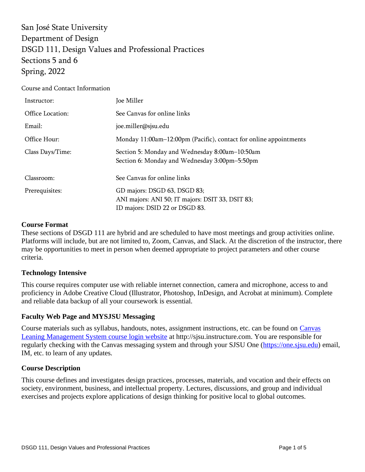San José State University Department of Design DSGD 111, Design Values and Professional Practices Sections 5 and 6 Spring, 2022

Course and Contact Information

| Instructor:                                                                                                                          | Joe Miller                                                                                      |  |
|--------------------------------------------------------------------------------------------------------------------------------------|-------------------------------------------------------------------------------------------------|--|
| Office Location:                                                                                                                     | See Canvas for online links                                                                     |  |
| Email:                                                                                                                               | joe.miller@sjsu.edu                                                                             |  |
| Office Hour:                                                                                                                         | Monday 11:00am-12:00pm (Pacific), contact for online appointments                               |  |
| Class Days/Time:                                                                                                                     | Section 5: Monday and Wednesday 8:00am-10:50am<br>Section 6: Monday and Wednesday 3:00pm-5:50pm |  |
| Classroom:                                                                                                                           | See Canvas for online links                                                                     |  |
| GD majors: DSGD 63, DSGD 83;<br>Prerequisites:<br>ANI majors: ANI 50; IT majors: DSIT 33, DSIT 83;<br>ID majors: DSID 22 or DSGD 83. |                                                                                                 |  |

#### **Course Format**

These sections of DSGD 111 are hybrid and are scheduled to have most meetings and group activities online. Platforms will include, but are not limited to, Zoom, Canvas, and Slack. At the discretion of the instructor, there may be opportunities to meet in person when deemed appropriate to project parameters and other course criteria.

### **Technology Intensive**

This course requires computer use with reliable internet connection, camera and microphone, access to and proficiency in Adobe Creative Cloud (Illustrator, Photoshop, InDesign, and Acrobat at minimum). Complete and reliable data backup of all your coursework is essential.

### **Faculty Web Page and MYSJSU Messaging**

Course materials such as syllabus, handouts, notes, assignment instructions, etc. can be found on [Canvas](http://sjsu.instructure.com/)  [Leaning Management System course login website](http://sjsu.instructure.com/) at http://sjsu.instructure.com. You are responsible for regularly checking with the Canvas messaging system and through your SJSU One [\(https://one.sjsu.edu\)](https://one.sjsu.edu/) email, IM, etc. to learn of any updates*.*

### **Course Description**

This course defines and investigates design practices, processes, materials, and vocation and their effects on society, environment, business, and intellectual property. Lectures, discussions, and group and individual exercises and projects explore applications of design thinking for positive local to global outcomes.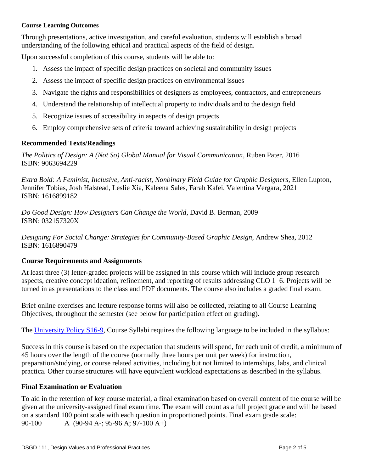#### **Course Learning Outcomes**

Through presentations, active investigation, and careful evaluation, students will establish a broad understanding of the following ethical and practical aspects of the field of design.

Upon successful completion of this course, students will be able to:

- 1. Assess the impact of specific design practices on societal and community issues
- 2. Assess the impact of specific design practices on environmental issues
- 3. Navigate the rights and responsibilities of designers as employees, contractors, and entrepreneurs
- 4. Understand the relationship of intellectual property to individuals and to the design field
- 5. Recognize issues of accessibility in aspects of design projects
- 6. Employ comprehensive sets of criteria toward achieving sustainability in design projects

# **Recommended Texts/Readings**

*The Politics of Design: A (Not So) Global Manual for Visual Communication*, Ruben Pater, 2016 ISBN: 9063694229

*Extra Bold: A Feminist, Inclusive, Anti-racist, Nonbinary Field Guide for Graphic Designers*, Ellen Lupton, Jennifer Tobias, Josh Halstead, Leslie Xia, Kaleena Sales, Farah Kafei, Valentina Vergara, 2021 ISBN: 1616899182

*Do Good Design: How Designers Can Change the World*, David B. Berman, 2009 ISBN: 032157320X

*Designing For Social Change: Strategies for Community-Based Graphic Design*, Andrew Shea, 2012 ISBN: 1616890479

# **Course Requirements and Assignments**

At least three (3) letter-graded projects will be assigned in this course which will include group research aspects, creative concept ideation, refinement, and reporting of results addressing CLO 1–6. Projects will be turned in as presentations to the class and PDF documents. The course also includes a graded final exam.

Brief online exercises and lecture response forms will also be collected, relating to all Course Learning Objectives, throughout the semester (see below for participation effect on grading).

The [University Policy S16-9,](http://www.sjsu.edu/senate/docs/S16-9.pdf) Course Syllabi requires the following language to be included in the syllabus:

Success in this course is based on the expectation that students will spend, for each unit of credit, a minimum of 45 hours over the length of the course (normally three hours per unit per week) for instruction, preparation/studying, or course related activities, including but not limited to internships, labs, and clinical practica. Other course structures will have equivalent workload expectations as described in the syllabus.

# **Final Examination or Evaluation**

To aid in the retention of key course material, a final examination based on overall content of the course will be given at the university-assigned final exam time. The exam will count as a full project grade and will be based on a standard 100 point scale with each question in proportioned points. Final exam grade scale: 90-100 A (90-94 A-; 95-96 A; 97-100 A+)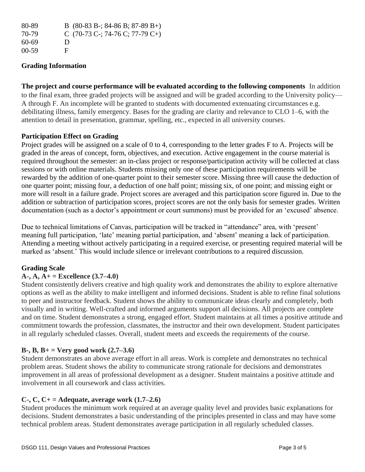| 80-89   | B $(80-83 B-; 84-86 B; 87-89 B+)$                              |
|---------|----------------------------------------------------------------|
| 70-79   | C $(70-73 \text{ C} \cdot; 74-76 \text{ C}; 77-79 \text{ C}+)$ |
| 60-69   | $\mathbf{D}$                                                   |
| $00-59$ | E                                                              |

# **Grading Information**

**The project and course performance will be evaluated according to the following components** In addition to the final exam, three graded projects will be assigned and will be graded according to the University policy— A through F. An incomplete will be granted to students with documented extenuating circumstances e.g. debilitating illness, family emergency. Bases for the grading are clarity and relevance to CLO 1–6, with the attention to detail in presentation, grammar, spelling, etc., expected in all university courses.

# **Participation Effect on Grading**

Project grades will be assigned on a scale of 0 to 4, corresponding to the letter grades F to A. Projects will be graded in the areas of concept, form, objectives, and execution. Active engagement in the course material is required throughout the semester: an in-class project or response/participation activity will be collected at class sessions or with online materials. Students missing only one of these participation requirements will be rewarded by the addition of one-quarter point to their semester score. Missing three will cause the deduction of one quarter point; missing four, a deduction of one half point; missing six, of one point; and missing eight or more will result in a failure grade. Project scores are averaged and this participation score figured in. Due to the addition or subtraction of participation scores, project scores are not the only basis for semester grades. Written documentation (such as a doctor's appointment or court summons) must be provided for an 'excused' absence.

Due to technical limitations of Canvas, participation will be tracked in "attendance" area, with 'present' meaning full participation, 'late' meaning partial participation, and 'absent' meaning a lack of participation. Attending a meeting without actively participating in a required exercise, or presenting required material will be marked as 'absent.' This would include silence or irrelevant contributions to a required discussion.

# **Grading Scale**

# **A-, A, A+ = Excellence (3.7–4.0)**

Student consistently delivers creative and high quality work and demonstrates the ability to explore alternative options as well as the ability to make intelligent and informed decisions. Student is able to refine final solutions to peer and instructor feedback. Student shows the ability to communicate ideas clearly and completely, both visually and in writing. Well-crafted and informed arguments support all decisions. All projects are complete and on time. Student demonstrates a strong, engaged effort. Student maintains at all times a positive attitude and commitment towards the profession, classmates, the instructor and their own development. Student participates in all regularly scheduled classes. Overall, student meets and exceeds the requirements of the course.

# **B-, B, B+ = Very good work (2.7–3.6)**

Student demonstrates an above average effort in all areas. Work is complete and demonstrates no technical problem areas. Student shows the ability to communicate strong rationale for decisions and demonstrates improvement in all areas of professional development as a designer. Student maintains a positive attitude and involvement in all coursework and class activities.

# **C-, C, C+ = Adequate, average work (1.7–2.6)**

Student produces the minimum work required at an average quality level and provides basic explanations for decisions. Student demonstrates a basic understanding of the principles presented in class and may have some technical problem areas. Student demonstrates average participation in all regularly scheduled classes.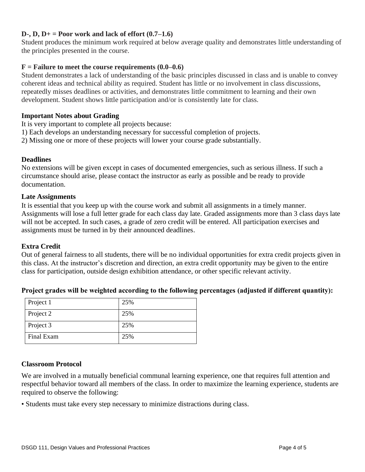## **D-, D, D+ = Poor work and lack of effort (0.7–1.6)**

Student produces the minimum work required at below average quality and demonstrates little understanding of the principles presented in the course.

## $F =$ **Failure to meet the course requirements (0.0–0.6)**

Student demonstrates a lack of understanding of the basic principles discussed in class and is unable to convey coherent ideas and technical ability as required. Student has little or no involvement in class discussions, repeatedly misses deadlines or activities, and demonstrates little commitment to learning and their own development. Student shows little participation and/or is consistently late for class.

### **Important Notes about Grading**

It is very important to complete all projects because:

- 1) Each develops an understanding necessary for successful completion of projects.
- 2) Missing one or more of these projects will lower your course grade substantially.

#### **Deadlines**

No extensions will be given except in cases of documented emergencies, such as serious illness. If such a circumstance should arise, please contact the instructor as early as possible and be ready to provide documentation.

#### **Late Assignments**

It is essential that you keep up with the course work and submit all assignments in a timely manner. Assignments will lose a full letter grade for each class day late. Graded assignments more than 3 class days late will not be accepted. In such cases, a grade of zero credit will be entered. All participation exercises and assignments must be turned in by their announced deadlines.

### **Extra Credit**

Out of general fairness to all students, there will be no individual opportunities for extra credit projects given in this class. At the instructor's discretion and direction, an extra credit opportunity may be given to the entire class for participation, outside design exhibition attendance, or other specific relevant activity.

| Project 1  | 25% |
|------------|-----|
| Project 2  | 25% |
| Project 3  | 25% |
| Final Exam | 25% |

### **Project grades will be weighted according to the following percentages (adjusted if different quantity):**

### **Classroom Protocol**

We are involved in a mutually beneficial communal learning experience, one that requires full attention and respectful behavior toward all members of the class. In order to maximize the learning experience, students are required to observe the following:

• Students must take every step necessary to minimize distractions during class.